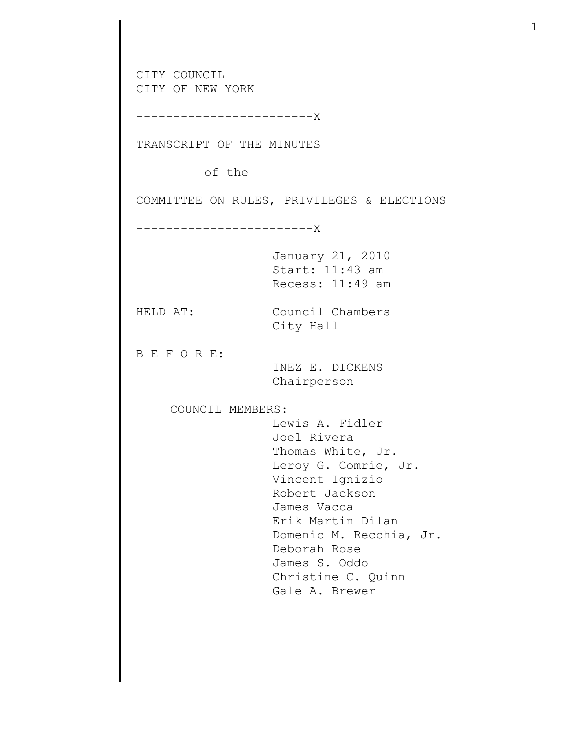CITY COUNCIL CITY OF NEW YORK ------------------------X TRANSCRIPT OF THE MINUTES of the COMMITTEE ON RULES, PRIVILEGES & ELECTIONS ------------------------X January 21, 2010 Start: 11:43 am Recess: 11:49 am HELD AT: Council Chambers City Hall B E F O R E: INEZ E. DICKENS Chairperson COUNCIL MEMBERS: Lewis A. Fidler Joel Rivera Thomas White, Jr. Leroy G. Comrie, Jr. Vincent Ignizio Robert Jackson James Vacca Erik Martin Dilan Domenic M. Recchia, Jr. Deborah Rose James S. Oddo Christine C. Quinn Gale A. Brewer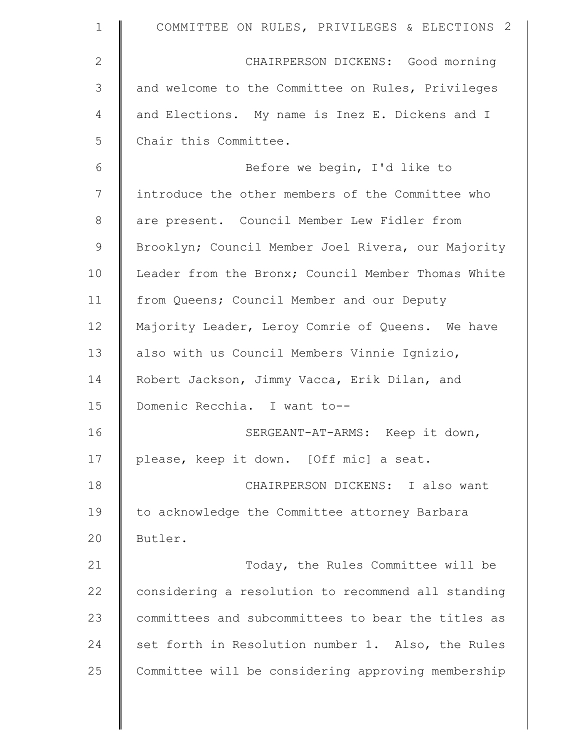| $\mathbf 1$  | COMMITTEE ON RULES, PRIVILEGES & ELECTIONS 2       |
|--------------|----------------------------------------------------|
| $\mathbf{2}$ | CHAIRPERSON DICKENS: Good morning                  |
| 3            | and welcome to the Committee on Rules, Privileges  |
| 4            | and Elections. My name is Inez E. Dickens and I    |
| 5            | Chair this Committee.                              |
| 6            | Before we begin, I'd like to                       |
| 7            | introduce the other members of the Committee who   |
| $8\,$        | are present. Council Member Lew Fidler from        |
| $\mathsf 9$  | Brooklyn; Council Member Joel Rivera, our Majority |
| 10           | Leader from the Bronx; Council Member Thomas White |
| 11           | from Queens; Council Member and our Deputy         |
| 12           | Majority Leader, Leroy Comrie of Queens. We have   |
| 13           | also with us Council Members Vinnie Ignizio,       |
| 14           | Robert Jackson, Jimmy Vacca, Erik Dilan, and       |
| 15           | Domenic Recchia. I want to--                       |
| 16           | SERGEANT-AT-ARMS: Keep it down,                    |
| 17           | please, keep it down. [Off mic] a seat.            |
| 18           | CHAIRPERSON DICKENS: I also want                   |
| 19           | to acknowledge the Committee attorney Barbara      |
| 20           | Butler.                                            |
| 21           | Today, the Rules Committee will be                 |
| 22           | considering a resolution to recommend all standing |
| 23           | committees and subcommittees to bear the titles as |
| 24           | set forth in Resolution number 1. Also, the Rules  |
| 25           | Committee will be considering approving membership |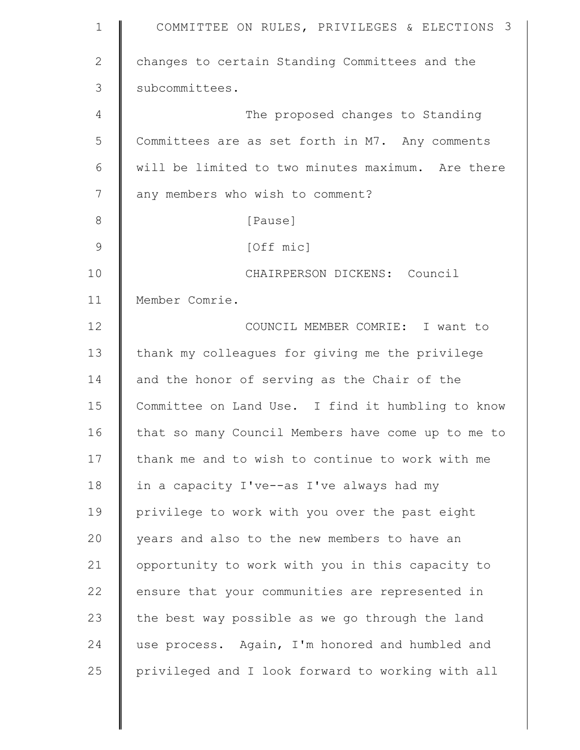| $\mathbf 1$    | COMMITTEE ON RULES, PRIVILEGES & ELECTIONS 3       |
|----------------|----------------------------------------------------|
| $\overline{2}$ | changes to certain Standing Committees and the     |
| 3              | subcommittees.                                     |
| 4              | The proposed changes to Standing                   |
| 5              | Committees are as set forth in M7. Any comments    |
| 6              | will be limited to two minutes maximum. Are there  |
| 7              | any members who wish to comment?                   |
| $8\,$          | [Pause]                                            |
| $\mathcal{G}$  | [Off mic]                                          |
| 10             | CHAIRPERSON DICKENS: Council                       |
| 11             | Member Comrie.                                     |
| 12             | COUNCIL MEMBER COMRIE: I want to                   |
| 13             | thank my colleagues for giving me the privilege    |
| 14             | and the honor of serving as the Chair of the       |
| 15             | Committee on Land Use. I find it humbling to know  |
| 16             | that so many Council Members have come up to me to |
| 17             | thank me and to wish to continue to work with me   |
| 18             | in a capacity I've--as I've always had my          |
| 19             | privilege to work with you over the past eight     |
| 20             | years and also to the new members to have an       |
| 21             | opportunity to work with you in this capacity to   |
| 22             | ensure that your communities are represented in    |
| 23             | the best way possible as we go through the land    |
| 24             | use process. Again, I'm honored and humbled and    |
| 25             | privileged and I look forward to working with all  |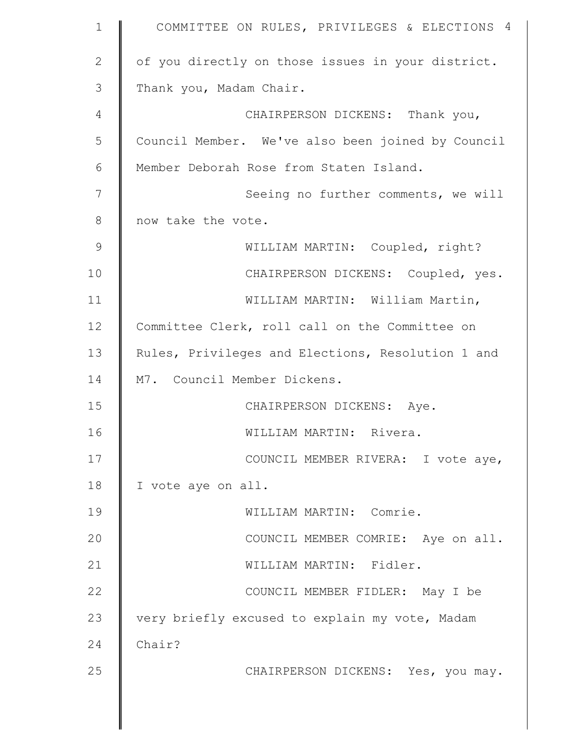| $\mathbf 1$   | COMMITTEE ON RULES, PRIVILEGES & ELECTIONS 4      |
|---------------|---------------------------------------------------|
| $\mathbf{2}$  | of you directly on those issues in your district. |
| 3             | Thank you, Madam Chair.                           |
| 4             | CHAIRPERSON DICKENS: Thank you,                   |
| 5             | Council Member. We've also been joined by Council |
| 6             | Member Deborah Rose from Staten Island.           |
| 7             | Seeing no further comments, we will               |
| 8             | now take the vote.                                |
| $\mathcal{G}$ | WILLIAM MARTIN: Coupled, right?                   |
| 10            | CHAIRPERSON DICKENS: Coupled, yes.                |
| 11            | WILLIAM MARTIN: William Martin,                   |
| 12            | Committee Clerk, roll call on the Committee on    |
| 13            | Rules, Privileges and Elections, Resolution 1 and |
| 14            | M7. Council Member Dickens.                       |
| 15            | CHAIRPERSON DICKENS: Aye.                         |
| 16            | WILLIAM MARTIN: Rivera.                           |
| 17            | COUNCIL MEMBER RIVERA: I vote aye,                |
| 18            | I vote aye on all.                                |
| 19            | WILLIAM MARTIN: Comrie.                           |
| 20            | COUNCIL MEMBER COMRIE: Aye on all.                |
| 21            | WILLIAM MARTIN: Fidler.                           |
| 22            | COUNCIL MEMBER FIDLER: May I be                   |
| 23            | very briefly excused to explain my vote, Madam    |
| 24            | Chair?                                            |
| 25            | CHAIRPERSON DICKENS: Yes, you may.                |
|               |                                                   |
|               |                                                   |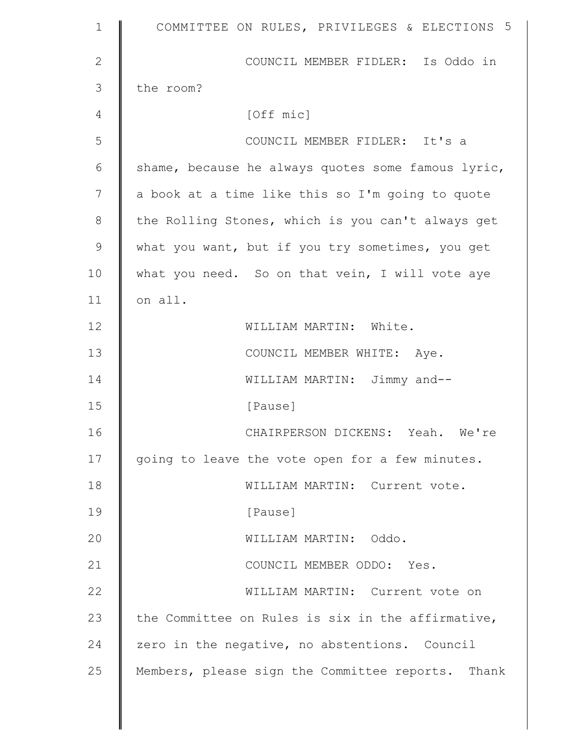| $\mathbf 1$  | COMMITTEE ON RULES, PRIVILEGES & ELECTIONS 5       |
|--------------|----------------------------------------------------|
| $\mathbf{2}$ | COUNCIL MEMBER FIDLER: Is Oddo in                  |
| 3            | the room?                                          |
| 4            | [Off mic]                                          |
| 5            | COUNCIL MEMBER FIDLER: It's a                      |
| 6            | shame, because he always quotes some famous lyric, |
| 7            | a book at a time like this so I'm going to quote   |
| $8\,$        | the Rolling Stones, which is you can't always get  |
| 9            | what you want, but if you try sometimes, you get   |
| 10           | what you need. So on that vein, I will vote aye    |
| 11           | on all.                                            |
| 12           | WILLIAM MARTIN: White.                             |
| 13           | COUNCIL MEMBER WHITE: Aye.                         |
| 14           | WILLIAM MARTIN: Jimmy and--                        |
| 15           | [Pause]                                            |
| 16           | CHAIRPERSON DICKENS: Yeah. We're                   |
| 17           | going to leave the vote open for a few minutes.    |
| 18           | WILLIAM MARTIN: Current vote.                      |
| 19           | [Pause]                                            |
| 20           | WILLIAM MARTIN: Oddo.                              |
| 21           | COUNCIL MEMBER ODDO: Yes.                          |
| 22           | WILLIAM MARTIN: Current vote on                    |
| 23           | the Committee on Rules is six in the affirmative,  |
| 24           | zero in the negative, no abstentions. Council      |
| 25           | Members, please sign the Committee reports. Thank  |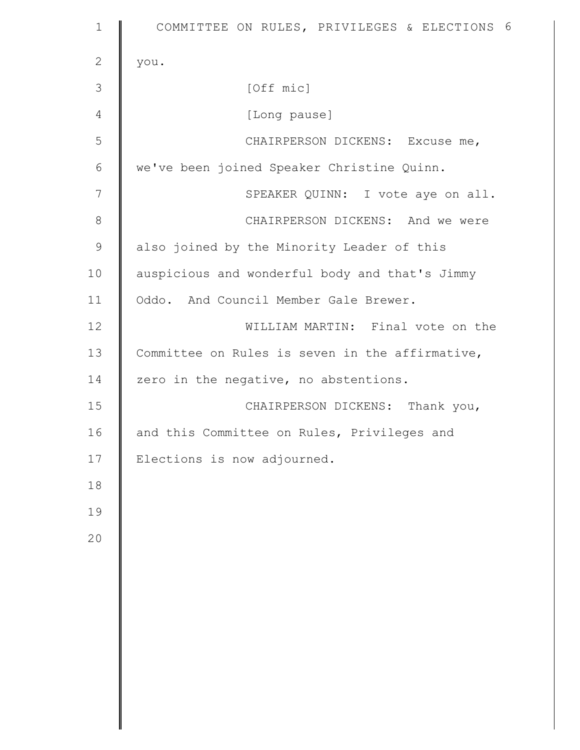| $\mathbf 1$   | COMMITTEE ON RULES, PRIVILEGES & ELECTIONS 6    |
|---------------|-------------------------------------------------|
| $\mathbf{2}$  | you.                                            |
| 3             | [Off mic]                                       |
| 4             | [Long pause]                                    |
| 5             | CHAIRPERSON DICKENS: Excuse me,                 |
| 6             | we've been joined Speaker Christine Quinn.      |
| 7             | SPEAKER QUINN: I vote aye on all.               |
| $\,8\,$       | CHAIRPERSON DICKENS: And we were                |
| $\mathcal{G}$ | also joined by the Minority Leader of this      |
| 10            | auspicious and wonderful body and that's Jimmy  |
| 11            | Oddo. And Council Member Gale Brewer.           |
| 12            | WILLIAM MARTIN: Final vote on the               |
| 13            | Committee on Rules is seven in the affirmative, |
| 14            | zero in the negative, no abstentions.           |
| 15            | CHAIRPERSON DICKENS: Thank you,                 |
| 16            | and this Committee on Rules, Privileges and     |
| 17            | Elections is now adjourned.                     |
| 18            |                                                 |
| 19            |                                                 |
| 20            |                                                 |
|               |                                                 |
|               |                                                 |
|               |                                                 |
|               |                                                 |
|               |                                                 |
|               |                                                 |
|               |                                                 |